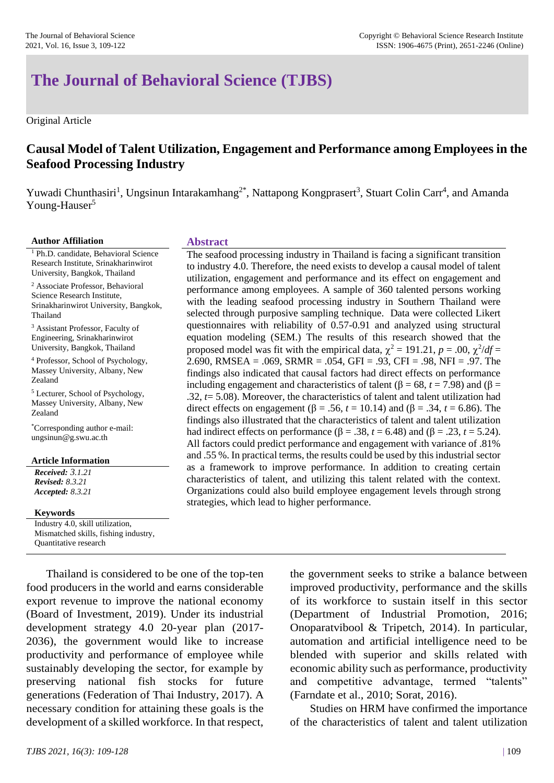# **The Journal of Behavioral Science (TJBS)**

Original Article

# **Causal Model of Talent Utilization, Engagement and Performance among Employees in the Seafood Processing Industry**

Yuwadi Chunthasiri<sup>1</sup>, Ungsinun Intarakamhang<sup>2\*</sup>, Nattapong Kongprasert<sup>3</sup>, Stuart Colin Carr<sup>4</sup>, and Amanda Young-Hauser<sup>5</sup>

#### **Author Affiliation Abstract**

<sup>1</sup> Ph.D. candidate, Behavioral Science Research Institute, Srinakharinwirot University, Bangkok, Thailand

<sup>2</sup> Associate Professor, Behavioral Science Research Institute, Srinakharinwirot University, Bangkok, Thailand

<sup>3</sup> Assistant Professor, Faculty of Engineering, Srinakharinwirot University, Bangkok, Thailand

<sup>4</sup> Professor, School of Psychology, Massey University, Albany, New Zealand

<sup>5</sup> Lecturer, School of Psychology, Massey University, Albany, New Zealand

\*Corresponding author e-mail: ungsinun@g.swu.ac.th

#### **Article Information**

*Received: 3.1.21 Revised: 8.3.21 Accepted: 8.3.21*

#### **Keywords**

Industry 4.0, skill utilization, Mismatched skills, fishing industry, Quantitative research

Thailand is considered to be one of the top-ten food producers in the world and earns considerable export revenue to improve the national economy (Board of Investment, 2019). Under its industrial development strategy 4.0 20-year plan (2017- 2036), the government would like to increase productivity and performance of employee while sustainably developing the sector, for example by preserving national fish stocks for future generations (Federation of Thai Industry, 2017). A necessary condition for attaining these goals is the development of a skilled workforce. In that respect,

#### The seafood processing industry in Thailand is facing a significant transition to industry 4.0. Therefore, the need exists to develop a causal model of talent utilization, engagement and performance and its effect on engagement and performance among employees. A sample of 360 talented persons working with the leading seafood processing industry in Southern Thailand were selected through purposive sampling technique. Data were collected Likert questionnaires with reliability of 0.57-0.91 and analyzed using structural equation modeling (SEM.) The results of this research showed that the proposed model was fit with the empirical data,  $\chi^2 = 191.21$ ,  $p = .00$ ,  $\chi^2/df =$ 2.690, RMSEA = .069, SRMR = .054, GFI = .93, CFI = .98, NFI = .97. The findings also indicated that causal factors had direct effects on performance including engagement and characteristics of talent ( $β = 68$ ,  $t = 7.98$ ) and ( $β =$ .32, *t*= 5.08). Moreover, the characteristics of talent and talent utilization had direct effects on engagement (β = .56, *t* = 10.14) and (β = .34, *t* = 6.86). The findings also illustrated that the characteristics of talent and talent utilization had indirect effects on performance ( $\beta$  = .38, *t* = 6.48) and ( $\beta$  = .23, *t* = 5.24). All factors could predict performance and engagement with variance of .81% and .55 %. In practical terms, the results could be used by this industrial sector as a framework to improve performance. In addition to creating certain characteristics of talent, and utilizing this talent related with the context. Organizations could also build employee engagement levels through strong strategies, which lead to higher performance.

the government seeks to strike a balance between improved productivity, performance and the skills of its workforce to sustain itself in this sector (Department of Industrial Promotion, 2016; Onoparatvibool & Tripetch, 2014). In particular, automation and artificial intelligence need to be blended with superior and skills related with economic ability such as performance, productivity and competitive advantage, termed "talents" (Farndate et al., 2010; Sorat, 2016).

Studies on HRM have confirmed the importance of the characteristics of talent and talent utilization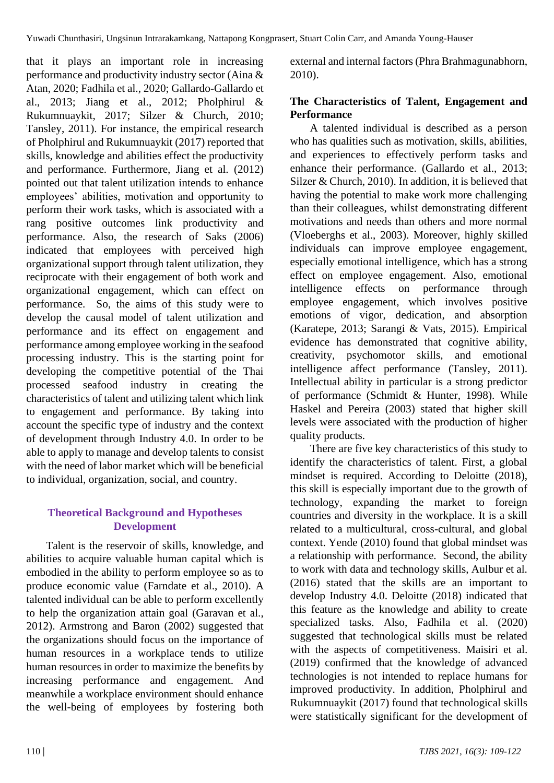that it plays an important role in increasing performance and productivity industry sector (Aina & Atan, 2020; Fadhila et al., 2020; Gallardo-Gallardo et al., 2013; Jiang et al., 2012; Pholphirul & Rukumnuaykit, 2017; Silzer & Church, 2010; Tansley, 2011). For instance, the empirical research of Pholphirul and Rukumnuaykit (2017) reported that skills, knowledge and abilities effect the productivity and performance. Furthermore, Jiang et al. (2012) pointed out that talent utilization intends to enhance employees' abilities, motivation and opportunity to perform their work tasks, which is associated with a rang positive outcomes link productivity and performance. Also, the research of Saks (2006) indicated that employees with perceived high organizational support through talent utilization, they reciprocate with their engagement of both work and organizational engagement, which can effect on performance. So, the aims of this study were to develop the causal model of talent utilization and performance and its effect on engagement and performance among employee working in the seafood processing industry. This is the starting point for developing the competitive potential of the Thai processed seafood industry in creating the characteristics of talent and utilizing talent which link to engagement and performance. By taking into account the specific type of industry and the context of development through Industry 4.0. In order to be able to apply to manage and develop talents to consist with the need of labor market which will be beneficial to individual, organization, social, and country.

# **Theoretical Background and Hypotheses Development**

Talent is the reservoir of skills, knowledge, and abilities to acquire valuable human capital which is embodied in the ability to perform employee so as to produce economic value (Farndate et al., 2010). A talented individual can be able to perform excellently to help the organization attain goal (Garavan et al., 2012). Armstrong and Baron (2002) suggested that the organizations should focus on the importance of human resources in a workplace tends to utilize human resources in order to maximize the benefits by increasing performance and engagement. And meanwhile a workplace environment should enhance the well-being of employees by fostering both external and internal factors (Phra Brahmagunabhorn, 2010).

# **The Characteristics of Talent, Engagement and Performance**

A talented individual is described as a person who has qualities such as motivation, skills, abilities, and experiences to effectively perform tasks and enhance their performance. (Gallardo et al., 2013; Silzer & Church, 2010). In addition, it is believed that having the potential to make work more challenging than their colleagues, whilst demonstrating different motivations and needs than others and more normal (Vloeberghs et al., 2003). Moreover, highly skilled individuals can improve employee engagement, especially emotional intelligence, which has a strong effect on employee engagement. Also, emotional intelligence effects on performance through employee engagement, which involves positive emotions of vigor, dedication, and absorption (Karatepe, 2013; Sarangi & Vats, 2015). Empirical evidence has demonstrated that cognitive ability, creativity, psychomotor skills, and emotional intelligence affect performance (Tansley, 2011). Intellectual ability in particular is a strong predictor of performance (Schmidt & Hunter, 1998). While Haskel and Pereira (2003) stated that higher skill levels were associated with the production of higher quality products.

There are five key characteristics of this study to identify the characteristics of talent. First, a global mindset is required. According to Deloitte (2018), this skill is especially important due to the growth of technology, expanding the market to foreign countries and diversity in the workplace. It is a skill related to a multicultural, cross-cultural, and global context. Yende (2010) found that global mindset was a relationship with performance. Second, the ability to work with data and technology skills, Aulbur et al. (2016) stated that the skills are an important to develop Industry 4.0. Deloitte (2018) indicated that this feature as the knowledge and ability to create specialized tasks. Also, Fadhila et al. (2020) suggested that technological skills must be related with the aspects of competitiveness. Maisiri et al. (2019) confirmed that the knowledge of advanced technologies is not intended to replace humans for improved productivity. In addition, Pholphirul and Rukumnuaykit (2017) found that technological skills were statistically significant for the development of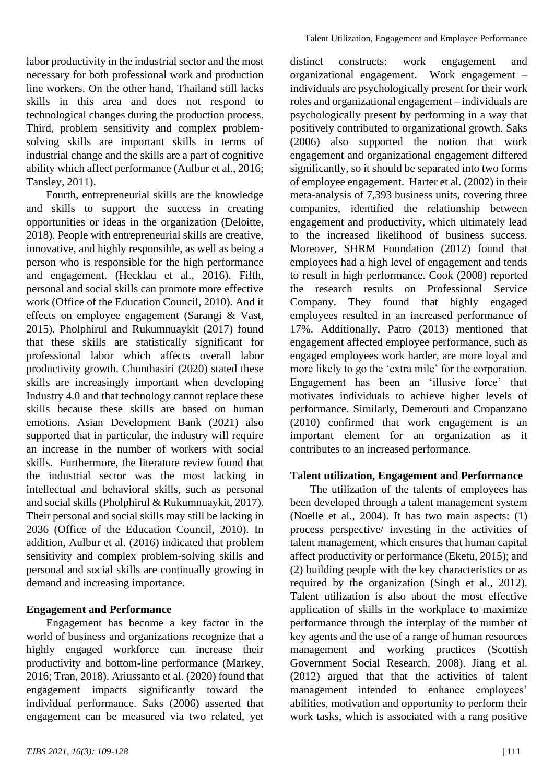labor productivity in the industrial sector and the most necessary for both professional work and production line workers. On the other hand, Thailand still lacks skills in this area and does not respond to technological changes during the production process. Third, problem sensitivity and complex problemsolving skills are important skills in terms of industrial change and the skills are a part of cognitive ability which affect performance (Aulbur et al., 2016; Tansley, 2011).

Fourth, entrepreneurial skills are the knowledge and skills to support the success in creating opportunities or ideas in the organization (Deloitte, 2018). People with entrepreneurial skills are creative, innovative, and highly responsible, as well as being a person who is responsible for the high performance and engagement. (Hecklau et al., 2016). Fifth, personal and social skills can promote more effective work (Office of the Education Council, 2010). And it effects on employee engagement (Sarangi & Vast, 2015). Pholphirul and Rukumnuaykit (2017) found that these skills are statistically significant for professional labor which affects overall labor productivity growth. Chunthasiri (2020) stated these skills are increasingly important when developing Industry 4.0 and that technology cannot replace these skills because these skills are based on human emotions. Asian Development Bank (2021) also supported that in particular, the industry will require an increase in the number of workers with social skills. Furthermore, the literature review found that the industrial sector was the most lacking in intellectual and behavioral skills, such as personal and social skills (Pholphirul & Rukumnuaykit, 2017). Their personal and social skills may still be lacking in 2036 (Office of the Education Council, 2010). In addition, Aulbur et al. (2016) indicated that problem sensitivity and complex problem-solving skills and personal and social skills are continually growing in demand and increasing importance.

### **Engagement and Performance**

Engagement has become a key factor in the world of business and organizations recognize that a highly engaged workforce can increase their productivity and bottom-line performance (Markey, 2016; Tran, 2018). Ariussanto et al. (2020) found that engagement impacts significantly toward the individual performance. Saks (2006) asserted that engagement can be measured via two related, yet distinct constructs: work engagement and organizational engagement. Work engagement – individuals are psychologically present for their work roles and organizational engagement – individuals are psychologically present by performing in a way that positively contributed to organizational growth. Saks (2006) also supported the notion that work engagement and organizational engagement differed significantly, so it should be separated into two forms of employee engagement. Harter et al. (2002) in their meta-analysis of 7,393 business units, covering three companies, identified the relationship between engagement and productivity, which ultimately lead to the increased likelihood of business success. Moreover, SHRM Foundation (2012) found that employees had a high level of engagement and tends to result in high performance. Cook (2008) reported the research results on Professional Service Company. They found that highly engaged employees resulted in an increased performance of 17%. Additionally, Patro (2013) mentioned that engagement affected employee performance, such as engaged employees work harder, are more loyal and more likely to go the 'extra mile' for the corporation. Engagement has been an 'illusive force' that motivates individuals to achieve higher levels of performance. Similarly, Demerouti and Cropanzano (2010) confirmed that work engagement is an important element for an organization as it contributes to an increased performance.

### **Talent utilization, Engagement and Performance**

The utilization of the talents of employees has been developed through a talent management system (Noelle et al., 2004). It has two main aspects: (1) process perspective/ investing in the activities of talent management, which ensures that human capital affect productivity or performance (Eketu, 2015); and (2) building people with the key characteristics or as required by the organization (Singh et al., 2012). Talent utilization is also about the most effective application of skills in the workplace to maximize performance through the interplay of the number of key agents and the use of a range of human resources management and working practices (Scottish Government Social Research, 2008). Jiang et al. (2012) argued that that the activities of talent management intended to enhance employees' abilities, motivation and opportunity to perform their work tasks, which is associated with a rang positive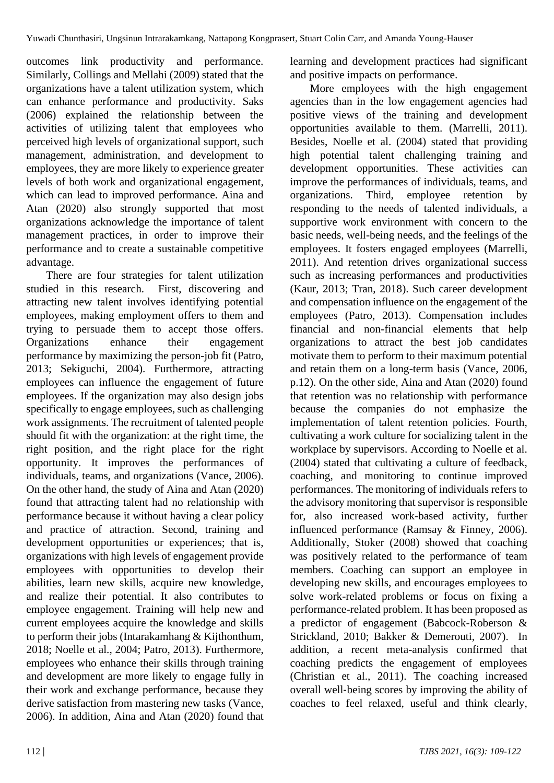outcomes link productivity and performance. Similarly, Collings and Mellahi (2009) stated that the organizations have a talent utilization system, which can enhance performance and productivity. Saks (2006) explained the relationship between the activities of utilizing talent that employees who perceived high levels of organizational support, such management, administration, and development to employees, they are more likely to experience greater levels of both work and organizational engagement, which can lead to improved performance. Aina and Atan (2020) also strongly supported that most organizations acknowledge the importance of talent management practices, in order to improve their performance and to create a sustainable competitive advantage.

There are four strategies for talent utilization studied in this research. First, discovering and attracting new talent involves identifying potential employees, making employment offers to them and trying to persuade them to accept those offers. Organizations enhance their engagement performance by maximizing the person-job fit (Patro, 2013; Sekiguchi, 2004). Furthermore, attracting employees can influence the engagement of future employees. If the organization may also design jobs specifically to engage employees, such as challenging work assignments. The recruitment of talented people should fit with the organization: at the right time, the right position, and the right place for the right opportunity. It improves the performances of individuals, teams, and organizations (Vance, 2006). On the other hand, the study of Aina and Atan (2020) found that attracting talent had no relationship with performance because it without having a clear policy and practice of attraction. Second, training and development opportunities or experiences; that is, organizations with high levels of engagement provide employees with opportunities to develop their abilities, learn new skills, acquire new knowledge, and realize their potential. It also contributes to employee engagement. Training will help new and current employees acquire the knowledge and skills to perform their jobs (Intarakamhang & Kijthonthum, 2018; Noelle et al., 2004; Patro, 2013). Furthermore, employees who enhance their skills through training and development are more likely to engage fully in their work and exchange performance, because they derive satisfaction from mastering new tasks (Vance, 2006). In addition, Aina and Atan (2020) found that learning and development practices had significant and positive impacts on performance.

More employees with the high engagement agencies than in the low engagement agencies had positive views of the training and development opportunities available to them. (Marrelli, 2011). Besides, Noelle et al. (2004) stated that providing high potential talent challenging training and development opportunities. These activities can improve the performances of individuals, teams, and organizations. Third, employee retention by responding to the needs of talented individuals, a supportive work environment with concern to the basic needs, well-being needs, and the feelings of the employees. It fosters engaged employees (Marrelli, 2011). And retention drives organizational success such as increasing performances and productivities (Kaur, 2013; Tran, 2018). Such career development and compensation influence on the engagement of the employees (Patro, 2013). Compensation includes financial and non-financial elements that help organizations to attract the best job candidates motivate them to perform to their maximum potential and retain them on a long-term basis (Vance, 2006, p.12). On the other side, Aina and Atan (2020) found that retention was no relationship with performance because the companies do not emphasize the implementation of talent retention policies. Fourth, cultivating a work culture for socializing talent in the workplace by supervisors. According to Noelle et al. (2004) stated that cultivating a culture of feedback, coaching, and monitoring to continue improved performances. The monitoring of individuals refers to the advisory monitoring that supervisor is responsible for, also increased work-based activity, further influenced performance (Ramsay & Finney, 2006). Additionally, Stoker (2008) showed that coaching was positively related to the performance of team members. Coaching can support an employee in developing new skills, and encourages employees to solve work-related problems or focus on fixing a performance-related problem. It has been proposed as a predictor of engagement (Babcock-Roberson & Strickland, 2010; Bakker & Demerouti, 2007). In addition, a recent meta-analysis confirmed that coaching predicts the engagement of employees (Christian et al., 2011). The coaching increased overall well‐being scores by improving the ability of coaches to feel relaxed, useful and think clearly,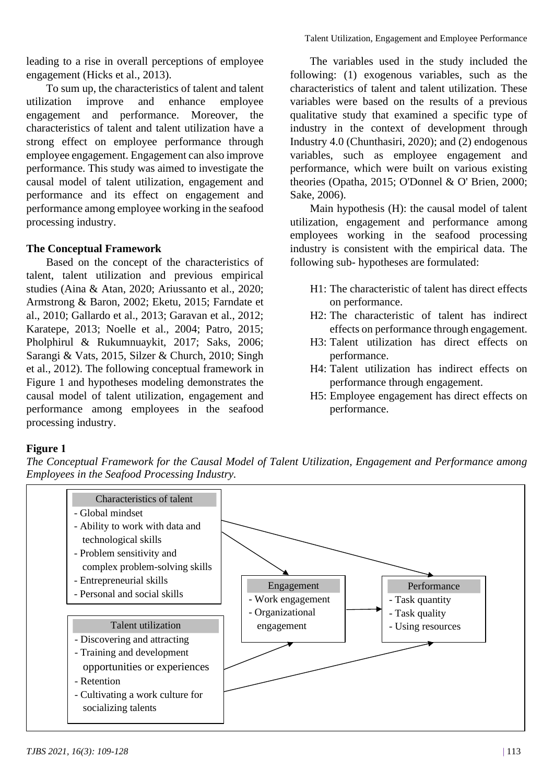leading to a rise in overall perceptions of employee engagement (Hicks et al., 2013).

To sum up, the characteristics of talent and talent utilization improve and enhance employee engagement and performance. Moreover, the characteristics of talent and talent utilization have a strong effect on employee performance through employee engagement. Engagement can also improve performance. This study was aimed to investigate the causal model of talent utilization, engagement and performance and its effect on engagement and performance among employee working in the seafood processing industry.

# **The Conceptual Framework**

Based on the concept of the characteristics of talent, talent utilization and previous empirical studies (Aina & Atan, 2020; Ariussanto et al., 2020; Armstrong & Baron, 2002; Eketu, 2015; Farndate et al., 2010; Gallardo et al., 2013; Garavan et al., 2012; Karatepe, 2013; Noelle et al., 2004; Patro, 2015; Pholphirul & Rukumnuaykit, 2017; Saks, 2006; Sarangi & Vats, 2015, Silzer & Church, 2010; Singh et al., 2012). The following conceptual framework in Figure 1 and hypotheses modeling demonstrates the causal model of talent utilization, engagement and performance among employees in the seafood processing industry.

The variables used in the study included the following: (1) exogenous variables, such as the characteristics of talent and talent utilization. These variables were based on the results of a previous qualitative study that examined a specific type of industry in the context of development through Industry 4.0 (Chunthasiri, 2020); and (2) endogenous variables, such as employee engagement and performance, which were built on various existing theories (Opatha, 2015; O'Donnel & O' Brien, 2000; Sake, 2006).

Main hypothesis (H): the causal model of talent utilization, engagement and performance among employees working in the seafood processing industry is consistent with the empirical data. The following sub- hypotheses are formulated:

- H1: The characteristic of talent has direct effects on performance.
- H2: The characteristic of talent has indirect effects on performance through engagement.
- H3: Talent utilization has direct effects on performance.
- H4: Talent utilization has indirect effects on performance through engagement.
- H5: Employee engagement has direct effects on performance.

# **Figure 1**

*The Conceptual Framework for the Causal Model of Talent Utilization, Engagement and Performance among Employees in the Seafood Processing Industry.*

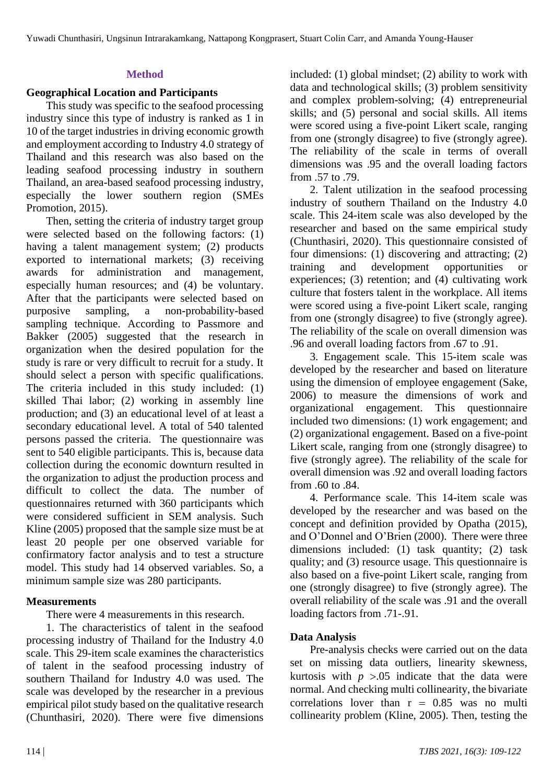# **Method**

### **Geographical Location and Participants**

This study was specific to the seafood processing industry since this type of industry is ranked as 1 in 10 of the target industries in driving economic growth and employment according to Industry 4.0 strategy of Thailand and this research was also based on the leading seafood processing industry in southern Thailand, an area-based seafood processing industry, especially the lower southern region (SMEs Promotion, 2015).

Then, setting the criteria of industry target group were selected based on the following factors: (1) having a talent management system; (2) products exported to international markets; (3) receiving awards for administration and management, especially human resources; and (4) be voluntary. After that the participants were selected based on purposive sampling, a non-probability-based sampling technique. According to Passmore and Bakker (2005) suggested that the research in organization when the desired population for the study is rare or very difficult to recruit for a study. It should select a person with specific qualifications. The criteria included in this study included: (1) skilled Thai labor; (2) working in assembly line production; and (3) an educational level of at least a secondary educational level. A total of 540 talented persons passed the criteria. The questionnaire was sent to 540 eligible participants. This is, because data collection during the economic downturn resulted in the organization to adjust the production process and difficult to collect the data. The number of questionnaires returned with 360 participants which were considered sufficient in SEM analysis. Such Kline (2005) proposed that the sample size must be at least 20 people per one observed variable for confirmatory factor analysis and to test a structure model. This study had 14 observed variables. So, a minimum sample size was 280 participants.

# **Measurements**

There were 4 measurements in this research.

1. The characteristics of talent in the seafood processing industry of Thailand for the Industry 4.0 scale. This 29-item scale examines the characteristics of talent in the seafood processing industry of southern Thailand for Industry 4.0 was used. The scale was developed by the researcher in a previous empirical pilot study based on the qualitative research (Chunthasiri, 2020). There were five dimensions

included: (1) global mindset; (2) ability to work with data and technological skills; (3) problem sensitivity and complex problem-solving; (4) entrepreneurial skills; and (5) personal and social skills. All items were scored using a five-point Likert scale, ranging from one (strongly disagree) to five (strongly agree). The reliability of the scale in terms of overall dimensions was .95 and the overall loading factors from .57 to .79.

2. Talent utilization in the seafood processing industry of southern Thailand on the Industry 4.0 scale. This 24-item scale was also developed by the researcher and based on the same empirical study (Chunthasiri, 2020). This questionnaire consisted of four dimensions: (1) discovering and attracting; (2) training and development opportunities or experiences; (3) retention; and (4) cultivating work culture that fosters talent in the workplace. All items were scored using a five-point Likert scale, ranging from one (strongly disagree) to five (strongly agree). The reliability of the scale on overall dimension was .96 and overall loading factors from .67 to .91.

3. Engagement scale. This 15-item scale was developed by the researcher and based on literature using the dimension of employee engagement (Sake, 2006) to measure the dimensions of work and organizational engagement. This questionnaire included two dimensions: (1) work engagement; and (2) organizational engagement. Based on a five-point Likert scale, ranging from one (strongly disagree) to five (strongly agree). The reliability of the scale for overall dimension was .92 and overall loading factors from .60 to .84.

4. Performance scale. This 14-item scale was developed by the researcher and was based on the concept and definition provided by Opatha (2015), and O'Donnel and O'Brien (2000). There were three dimensions included: (1) task quantity; (2) task quality; and (3) resource usage. This questionnaire is also based on a five-point Likert scale, ranging from one (strongly disagree) to five (strongly agree). The overall reliability of the scale was .91 and the overall loading factors from .71-.91.

# **Data Analysis**

Pre-analysis checks were carried out on the data set on missing data outliers, linearity skewness, kurtosis with  $p > 0.05$  indicate that the data were normal. And checking multi collinearity, the bivariate correlations lover than  $r = 0.85$  was no multi collinearity problem (Kline, 2005). Then, testing the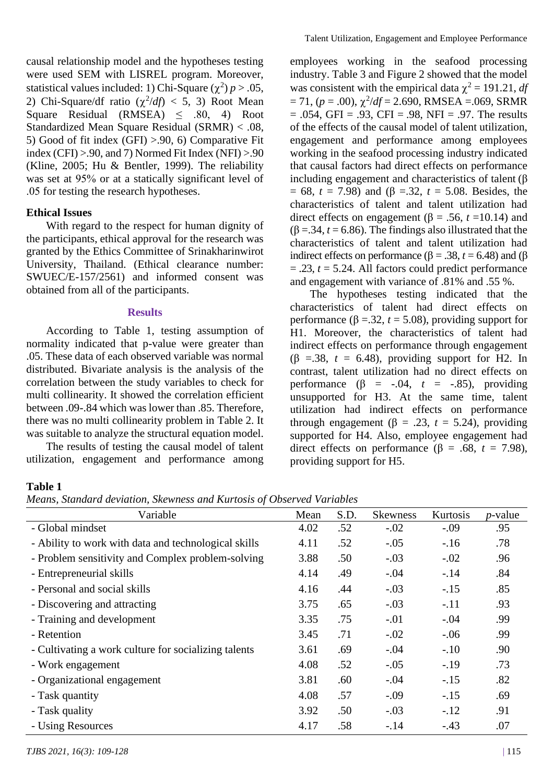causal relationship model and the hypotheses testing were used SEM with LISREL program. Moreover, statistical values included: 1) Chi-Square  $(\chi^2) p > .05$ , 2) Chi-Square/df ratio  $(\chi^2/df) < 5$ , 3) Root Mean Square Residual (RMSEA)  $\leq$  .80, 4) Root Standardized Mean Square Residual (SRMR) < .08, 5) Good of fit index (GFI) >.90, 6) Comparative Fit index (CFI)  $> 0.90$ , and 7) Normed Fit Index (NFI)  $> 0.90$ (Kline, 2005; Hu & Bentler, 1999). The reliability was set at 95% or at a statically significant level of .05 for testing the research hypotheses.

#### **Ethical Issues**

With regard to the respect for human dignity of the participants, ethical approval for the research was granted by the Ethics Committee of Srinakharinwirot University, Thailand. (Ethical clearance number: SWUEC/E-157/2561) and informed consent was obtained from all of the participants.

#### **Results**

According to Table 1, testing assumption of normality indicated that p-value were greater than .05. These data of each observed variable was normal distributed. Bivariate analysis is the analysis of the correlation between the study variables to check for multi collinearity. It showed the correlation efficient between .09-.84 which was lower than .85. Therefore, there was no multi collinearity problem in Table 2. It was suitable to analyze the structural equation model.

The results of testing the causal model of talent utilization, engagement and performance among employees working in the seafood processing industry. Table 3 and Figure 2 showed that the model was consistent with the empirical data  $\chi^2 = 191.21$ , *df*  $= 71$ ,  $(p = .00)$ ,  $\chi^2/df = 2.690$ , RMSEA = 069, SRMR  $= .054$ , GFI = .93, CFI = .98, NFI = .97. The results of the effects of the causal model of talent utilization, engagement and performance among employees working in the seafood processing industry indicated that causal factors had direct effects on performance including engagement and characteristics of talent (β = 68, *t* = 7.98) and (β =.32, *t* = 5.08. Besides, the characteristics of talent and talent utilization had direct effects on engagement (β = .56,  $t = 10.14$ ) and ( $\beta = 0.34$ ,  $t = 6.86$ ). The findings also illustrated that the characteristics of talent and talent utilization had indirect effects on performance ( $β = .38$ ,  $t = 6.48$ ) and (β  $= .23$ ,  $t = 5.24$ . All factors could predict performance and engagement with variance of .81% and .55 %.

The hypotheses testing indicated that the characteristics of talent had direct effects on performance (β =.32, *t* = 5.08), providing support for H1. Moreover, the characteristics of talent had indirect effects on performance through engagement ( $\beta$  =.38,  $t = 6.48$ ), providing support for H2. In contrast, talent utilization had no direct effects on performance  $(\beta = -.04, t = -.85)$ , providing unsupported for H3. At the same time, talent utilization had indirect effects on performance through engagement ( $\beta = .23$ ,  $t = 5.24$ ), providing supported for H4. Also, employee engagement had direct effects on performance ( $\beta$  = .68, *t* = 7.98), providing support for H5.

#### **Table 1**

*Means, Standard deviation, Skewness and Kurtosis of Observed Variables*

| Variable                                             | Mean | S.D. | <b>Skewness</b> | Kurtosis | $p$ -value |
|------------------------------------------------------|------|------|-----------------|----------|------------|
| - Global mindset                                     | 4.02 | .52  | $-.02$          | $-.09$   | .95        |
| - Ability to work with data and technological skills | 4.11 | .52  | $-.05$          | $-16$    | .78        |
| - Problem sensitivity and Complex problem-solving    | 3.88 | .50  | $-.03$          | $-.02$   | .96        |
| - Entrepreneurial skills                             | 4.14 | .49  | $-.04$          | $-.14$   | .84        |
| - Personal and social skills                         | 4.16 | .44  | $-.03$          | $-.15$   | .85        |
| - Discovering and attracting                         | 3.75 | .65  | $-.03$          | $-.11$   | .93        |
| - Training and development                           | 3.35 | .75  | $-.01$          | $-.04$   | .99        |
| - Retention                                          | 3.45 | .71  | $-.02$          | $-.06$   | .99        |
| - Cultivating a work culture for socializing talents | 3.61 | .69  | $-.04$          | $-.10$   | .90        |
| - Work engagement                                    | 4.08 | .52  | $-.05$          | $-.19$   | .73        |
| - Organizational engagement                          | 3.81 | .60  | $-.04$          | $-.15$   | .82        |
| - Task quantity                                      | 4.08 | .57  | $-.09$          | $-.15$   | .69        |
| - Task quality                                       | 3.92 | .50  | $-.03$          | $-.12$   | .91        |
| - Using Resources                                    | 4.17 | .58  | $-.14$          | $-.43$   | .07        |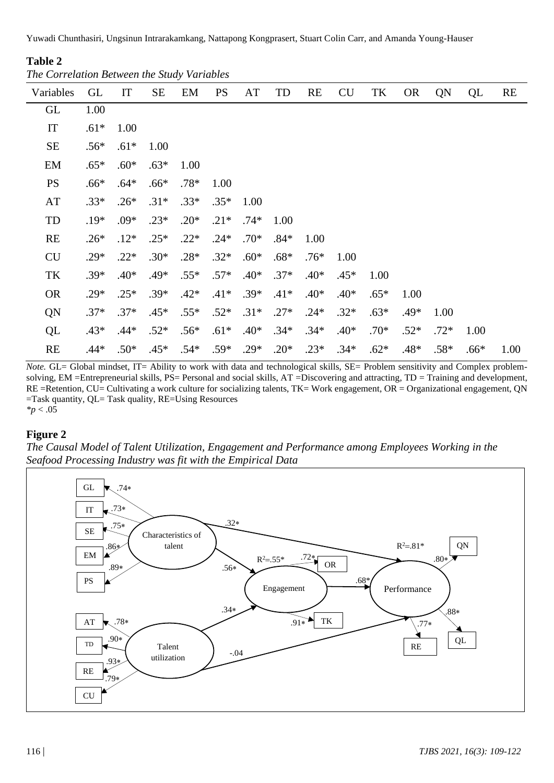Yuwadi Chunthasiri, Ungsinun Intrarakamkang, Nattapong Kongprasert, Stuart Colin Carr, and Amanda Young-Hauser

## **Table 2**

*The Correlation Between the Study Variables*

| Variables | <b>GL</b> | IT     | <b>SE</b> | EM     | <b>PS</b> | AT     | TD     | RE     | <b>CU</b> | TK     | <b>OR</b> | QN     | QL     | RE   |
|-----------|-----------|--------|-----------|--------|-----------|--------|--------|--------|-----------|--------|-----------|--------|--------|------|
| GL        | 1.00      |        |           |        |           |        |        |        |           |        |           |        |        |      |
| IT        | $.61*$    | 1.00   |           |        |           |        |        |        |           |        |           |        |        |      |
| <b>SE</b> | $.56*$    | $.61*$ | 1.00      |        |           |        |        |        |           |        |           |        |        |      |
| EM        | $.65*$    | $.60*$ | $.63*$    | 1.00   |           |        |        |        |           |        |           |        |        |      |
| <b>PS</b> | $.66*$    | $.64*$ | $.66*$    | $.78*$ | 1.00      |        |        |        |           |        |           |        |        |      |
| AT        | $.33*$    | $.26*$ | $.31*$    | $.33*$ | $.35*$    | 1.00   |        |        |           |        |           |        |        |      |
| TD        | $.19*$    | $.09*$ | $.23*$    | $.20*$ | $.21*$    | $.74*$ | 1.00   |        |           |        |           |        |        |      |
| <b>RE</b> | $.26*$    | $.12*$ | $.25*$    | $.22*$ | $.24*$    | $.70*$ | $.84*$ | 1.00   |           |        |           |        |        |      |
| <b>CU</b> | $.29*$    | $.22*$ | $.30*$    | $.28*$ | $.32*$    | $.60*$ | $.68*$ | $.76*$ | 1.00      |        |           |        |        |      |
| TK        | $.39*$    | $.40*$ | $.49*$    | $.55*$ | $.57*$    | $.40*$ | $.37*$ | $.40*$ | $.45*$    | 1.00   |           |        |        |      |
| <b>OR</b> | $.29*$    | $.25*$ | $.39*$    | $.42*$ | $.41*$    | $.39*$ | $.41*$ | $.40*$ | $.40*$    | $.65*$ | 1.00      |        |        |      |
| QN        | $.37*$    | $.37*$ | $.45*$    | $.55*$ | $.52*$    | $.31*$ | $.27*$ | $.24*$ | $.32*$    | $.63*$ | .49*      | 1.00   |        |      |
| QL        | $.43*$    | $.44*$ | $.52*$    | $.56*$ | $.61*$    | $.40*$ | $.34*$ | $.34*$ | $.40*$    | $.70*$ | $.52*$    | $.72*$ | 1.00   |      |
| RE        | .44*      | $.50*$ | $.45*$    | $.54*$ | $.59*$    | $.29*$ | $.20*$ | $.23*$ | $.34*$    | $.62*$ | $.48*$    | $.58*$ | $.66*$ | 1.00 |

*Note*. GL= Global mindset, IT= Ability to work with data and technological skills, SE= Problem sensitivity and Complex problemsolving, EM =Entrepreneurial skills, PS= Personal and social skills, AT =Discovering and attracting, TD = Training and development, RE =Retention, CU= Cultivating a work culture for socializing talents, TK= Work engagement, OR = Organizational engagement, QN =Task quantity, QL= Task quality, RE=Using Resources *\*p* < .05

### **Figure 2**

*The Causal Model of Talent Utilization, Engagement and Performance among Employees Working in the Seafood Processing Industry was fit with the Empirical Data*

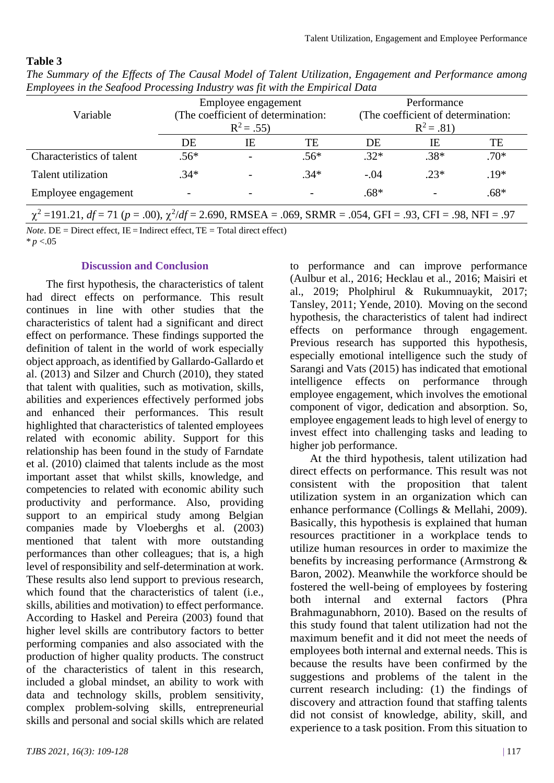#### **Table 3**

|                                                                                                                       |        | Employee engagement                |                          | Performance                        |        |        |  |  |  |
|-----------------------------------------------------------------------------------------------------------------------|--------|------------------------------------|--------------------------|------------------------------------|--------|--------|--|--|--|
| Variable                                                                                                              |        | (The coefficient of determination: |                          | (The coefficient of determination: |        |        |  |  |  |
|                                                                                                                       |        | $R^2 = .55$                        |                          | $R^2 = .81$                        |        |        |  |  |  |
|                                                                                                                       | DE     | IΕ                                 | TE                       | DE                                 | IE.    | TE     |  |  |  |
| Characteristics of talent                                                                                             | $.56*$ | $\overline{\phantom{0}}$           | $.56*$                   | $.32*$                             | $.38*$ | $.70*$ |  |  |  |
| Talent utilization                                                                                                    | $.34*$ |                                    | $.34*$                   | $-.04$                             | $.23*$ | $.19*$ |  |  |  |
| Employee engagement                                                                                                   |        |                                    | $\overline{\phantom{0}}$ | $.68*$                             |        | $.68*$ |  |  |  |
| $\chi^2$ =191.21, df = 71 (p = .00), $\chi^2$ /df = 2.690, RMSEA = .069, SRMR = .054, GFI = .93, CFI = .98, NFI = .97 |        |                                    |                          |                                    |        |        |  |  |  |

*The Summary of the Effects of The Causal Model of Talent Utilization, Engagement and Performance among Employees in the Seafood Processing Industry was fit with the Empirical Data*

*Note*. DE = Direct effect,  $IE = Indirect$  effect,  $TE = Total direct effect$ )  $* p < 0.05$ 

#### **Discussion and Conclusion**

The first hypothesis, the characteristics of talent had direct effects on performance. This result continues in line with other studies that the characteristics of talent had a significant and direct effect on performance. These findings supported the definition of talent in the world of work especially object approach, as identified by Gallardo-Gallardo et al. (2013) and Silzer and Church (2010), they stated that talent with qualities, such as motivation, skills, abilities and experiences effectively performed jobs and enhanced their performances. This result highlighted that characteristics of talented employees related with economic ability. Support for this relationship has been found in the study of Farndate et al. (2010) claimed that talents include as the most important asset that whilst skills, knowledge, and competencies to related with economic ability such productivity and performance. Also, providing support to an empirical study among Belgian companies made by Vloeberghs et al. (2003) mentioned that talent with more outstanding performances than other colleagues; that is, a high level of responsibility and self-determination at work. These results also lend support to previous research, which found that the characteristics of talent (i.e., skills, abilities and motivation) to effect performance. According to Haskel and Pereira (2003) found that higher level skills are contributory factors to better performing companies and also associated with the production of higher quality products. The construct of the characteristics of talent in this research, included a global mindset, an ability to work with data and technology skills, problem sensitivity, complex problem-solving skills, entrepreneurial skills and personal and social skills which are related to performance and can improve performance (Aulbur et al., 2016; Hecklau et al., 2016; Maisiri et al., 2019; Pholphirul & Rukumnuaykit, 2017; Tansley, 2011; Yende, 2010). Moving on the second hypothesis, the characteristics of talent had indirect effects on performance through engagement. Previous research has supported this hypothesis, especially emotional intelligence such the study of Sarangi and Vats (2015) has indicated that emotional intelligence effects on performance through employee engagement, which involves the emotional component of vigor, dedication and absorption. So, employee engagement leads to high level of energy to invest effect into challenging tasks and leading to higher job performance.

At the third hypothesis, talent utilization had direct effects on performance. This result was not consistent with the proposition that talent utilization system in an organization which can enhance performance (Collings & Mellahi, 2009). Basically, this hypothesis is explained that human resources practitioner in a workplace tends to utilize human resources in order to maximize the benefits by increasing performance (Armstrong & Baron, 2002). Meanwhile the workforce should be fostered the well-being of employees by fostering both internal and external factors (Phra Brahmagunabhorn, 2010). Based on the results of this study found that talent utilization had not the maximum benefit and it did not meet the needs of employees both internal and external needs. This is because the results have been confirmed by the suggestions and problems of the talent in the current research including: (1) the findings of discovery and attraction found that staffing talents did not consist of knowledge, ability, skill, and experience to a task position. From this situation to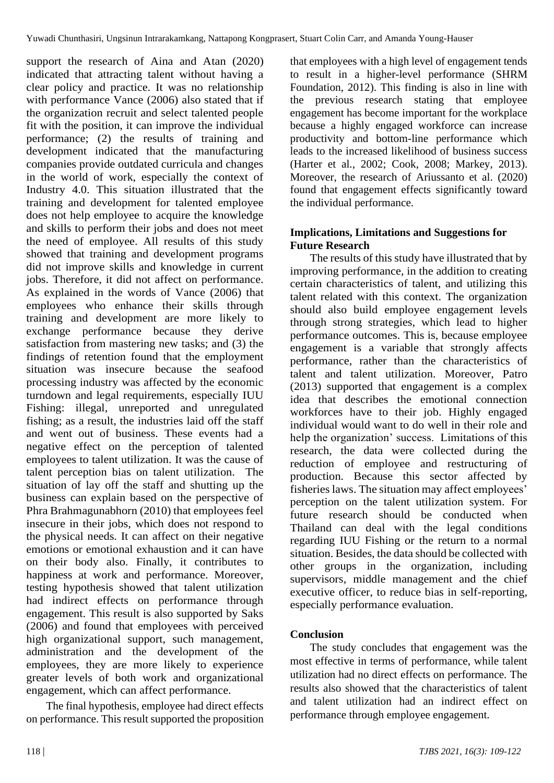support the research of Aina and Atan (2020) indicated that attracting talent without having a clear policy and practice. It was no relationship with performance Vance (2006) also stated that if the organization recruit and select talented people fit with the position, it can improve the individual performance; (2) the results of training and development indicated that the manufacturing companies provide outdated curricula and changes in the world of work, especially the context of Industry 4.0. This situation illustrated that the training and development for talented employee does not help employee to acquire the knowledge and skills to perform their jobs and does not meet the need of employee. All results of this study showed that training and development programs did not improve skills and knowledge in current jobs. Therefore, it did not affect on performance. As explained in the words of Vance (2006) that employees who enhance their skills through training and development are more likely to exchange performance because they derive satisfaction from mastering new tasks; and (3) the findings of retention found that the employment situation was insecure because the seafood processing industry was affected by the economic turndown and legal requirements, especially IUU Fishing: illegal, unreported and unregulated fishing; as a result, the industries laid off the staff and went out of business. These events had a negative effect on the perception of talented employees to talent utilization. It was the cause of talent perception bias on talent utilization. The situation of lay off the staff and shutting up the business can explain based on the perspective of Phra Brahmagunabhorn (2010) that employees feel insecure in their jobs, which does not respond to the physical needs. It can affect on their negative emotions or emotional exhaustion and it can have on their body also. Finally, it contributes to happiness at work and performance. Moreover, testing hypothesis showed that talent utilization had indirect effects on performance through engagement. This result is also supported by Saks (2006) and found that employees with perceived high organizational support, such management, administration and the development of the employees, they are more likely to experience greater levels of both work and organizational engagement, which can affect performance.

The final hypothesis, employee had direct effects on performance. This result supported the proposition that employees with a high level of engagement tends to result in a higher-level performance (SHRM Foundation, 2012). This finding is also in line with the previous research stating that employee engagement has become important for the workplace because a highly engaged workforce can increase productivity and bottom-line performance which leads to the increased likelihood of business success (Harter et al., 2002; Cook, 2008; Markey, 2013). Moreover, the research of Ariussanto et al. (2020) found that engagement effects significantly toward the individual performance.

# **Implications, Limitations and Suggestions for Future Research**

The results of this study have illustrated that by improving performance, in the addition to creating certain characteristics of talent, and utilizing this talent related with this context. The organization should also build employee engagement levels through strong strategies, which lead to higher performance outcomes. This is, because employee engagement is a variable that strongly affects performance, rather than the characteristics of talent and talent utilization. Moreover, Patro (2013) supported that engagement is a complex idea that describes the emotional connection workforces have to their job. Highly engaged individual would want to do well in their role and help the organization' success. Limitations of this research, the data were collected during the reduction of employee and restructuring of production. Because this sector affected by fisheries laws. The situation may affect employees' perception on the talent utilization system. For future research should be conducted when Thailand can deal with the legal conditions regarding IUU Fishing or the return to a normal situation. Besides, the data should be collected with other groups in the organization, including supervisors, middle management and the chief executive officer, to reduce bias in self-reporting, especially performance evaluation.

# **Conclusion**

The study concludes that engagement was the most effective in terms of performance, while talent utilization had no direct effects on performance. The results also showed that the characteristics of talent and talent utilization had an indirect effect on performance through employee engagement.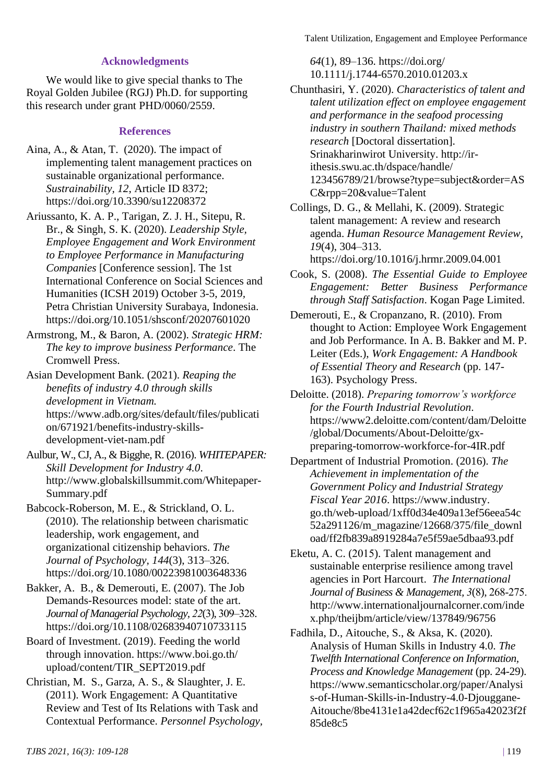Talent Utilization, Engagement and Employee Performance

Chunthasiri, Y. (2020). *Characteristics of talent and talent utilization effect on employee engagement and performance in the seafood processing industry in southern Thailand: mixed methods* 

# **Acknowledgments**

We would like to give special thanks to The Royal Golden Jubilee (RGJ) Ph.D. for supporting this research under grant PHD/0060/2559.

### **References**

- Aina, A., & Atan, T. (2020). The impact of implementing talent management practices on sustainable organizational performance. *Sustrainability, 12*, Article ID 8372; https://doi.org/10.3390/su12208372
- Ariussanto, K. A. P., Tarigan, Z. J. H., Sitepu, R. Br., & Singh, S. K. (2020). *Leadership Style, Employee Engagement and Work Environment to Employee Performance in Manufacturing Companies* [Conference session]. The 1st International Conference on Social Sciences and Humanities (ICSH 2019) October 3-5, 2019*,*  Petra Christian University Surabaya, Indonesia. https://doi.org/10.1051/shsconf/20207601020
- Armstrong, M., & Baron, A. (2002). *Strategic HRM: The key to improve business Performance*. The Cromwell Press.
- Asian Development Bank. (2021). *Reaping the benefits of industry 4.0 through skills development in Vietnam.* https://www.adb.org/sites/default/files/publicati on/671921/benefits-industry-skillsdevelopment-viet-nam.pdf
- Aulbur, W., CJ, A., & Bigghe, R. (2016). *WHITEPAPER: Skill Development for Industry 4.0*. http://www.globalskillsummit.com/Whitepaper-Summary.pdf
- Babcock-Roberson, M. E., & Strickland, O. L. (2010). The relationship between charismatic leadership, work engagement, and organizational citizenship behaviors. *The Journal of Psychology, 144*(3), 313–326. https://doi.org/10.1080/00223981003648336
- Bakker, A. B., & Demerouti, E. (2007). The Job Demands-Resources model: state of the art. *Journal of Managerial Psychology, 22*(3), 309–328. https://doi.org/10.1108/02683940710733115
- Board of Investment. (2019). Feeding the world through innovation. https://www.boi.go.th/ upload/content/TIR\_SEPT2019.pdf
- Christian, M. S., Garza, A. S., & Slaughter, J. E. (2011). Work Engagement: A Quantitative Review and Test of Its Relations with Task and Contextual Performance. *Personnel Psychology,*
- Srinakharinwirot University. http://ir
	- ithesis.swu.ac.th/dspace/handle/

*64*(1), 89–136. https://doi.org/ 10.1111/j.1744-6570.2010.01203.x

*research* [Doctoral dissertation].

- 123456789/21/browse?type=subject&order=AS C&rpp=20&value=Talent
- Collings, D. G., & Mellahi, K. (2009). Strategic talent management: A review and research agenda. *Human Resource Management Review, 19*(4), 304–313. https://doi.org/10.1016/j.hrmr.2009.04.001
- Cook, S. (2008). *The Essential Guide to Employee Engagement: Better Business Performance through Staff Satisfaction*. Kogan Page Limited.
- Demerouti, E., & Cropanzano, R. (2010). From thought to Action: Employee Work Engagement and Job Performance. In A. B. Bakker and M. P. Leiter (Eds.), *Work Engagement: A Handbook of Essential Theory and Research* (pp. 147- 163). Psychology Press.
- Deloitte. (2018). *Preparing tomorrow's workforce for the Fourth Industrial Revolution*. https://www2.deloitte.com/content/dam/Deloitte /global/Documents/About-Deloitte/gxpreparing-tomorrow-workforce-for-4IR.pdf
- Department of Industrial Promotion. (2016). *The Achievement in implementation of the Government Policy and Industrial Strategy Fiscal Year 2016*. https://www.industry. go.th/web-upload/1xff0d34e409a13ef56eea54c 52a291126/m\_magazine/12668/375/file\_downl oad/ff2fb839a8919284a7e5f59ae5dbaa93.pdf
- Eketu, A. C. (2015). Talent management and sustainable enterprise resilience among travel agencies in Port Harcourt. *The International Journal of Business & Management, 3*(8), 268-275. http://www.internationaljournalcorner.com/inde x.php/theijbm/article/view/137849/96756
- Fadhila, D., Aitouche, S., & Aksa, K. (2020). Analysis of Human Skills in Industry 4.0. *The Twelfth International Conference on Information, Process and Knowledge Management* (pp. 24-29). https://www.semanticscholar.org/paper/Analysi s-of-Human-Skills-in-Industry-4.0-Djouggane-Aitouche/8be4131e1a42decf62c1f965a42023f2f 85de8c5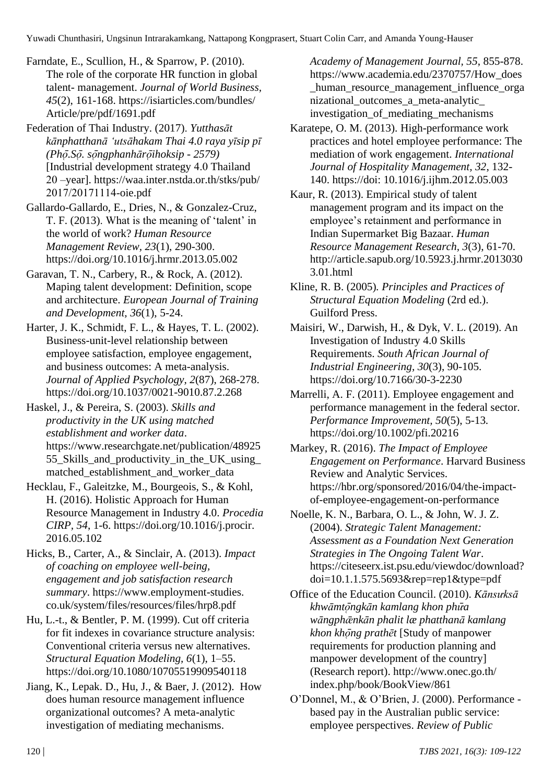Yuwadi Chunthasiri, Ungsinun Intrarakamkang, Nattapong Kongprasert, Stuart Colin Carr, and Amanda Young-Hauser

Farndate, E., Scullion, H., & Sparrow, P. (2010). The role of the corporate HR function in global talent- management. *Journal of World Business, 45*(2), 161-168. https://isiarticles.com/bundles/ Article/pre/pdf/1691.pdf

Federation of Thai Industry. (2017). *Yutthasāt kānphatthanā ʻutsāhakam Thai 4.0 raya yīsip pī (Pho ̜̄.So ̜̄. so ̜̄ngphanhāro ̜̄ihoksip - 2579)* [Industrial development strategy 4.0 Thailand 20 –year]. https://waa.inter.nstda.or.th/stks/pub/ 2017/20171114-oie.pdf

Gallardo-Gallardo, E., Dries, N., & Gonzalez-Cruz, T. F. (2013). What is the meaning of 'talent' in the world of work? *Human Resource Management Review, 23*(1), 290-300. https://doi.org/10.1016/j.hrmr.2013.05.002

Garavan, T. N., Carbery, R., & Rock, A. (2012). Maping talent development: Definition, scope and architecture. *European Journal of Training and Development, 36*(1), 5-24.

Harter, J. K., Schmidt, F. L., & Hayes, T. L. (2002). Business-unit-level relationship between employee satisfaction, employee engagement, and business outcomes: A meta-analysis. *Journal of Applied Psychology, 2*(87), 268-278. https://doi.org/10.1037/0021-9010.87.2.268

Haskel, J., & Pereira, S. (2003). *Skills and productivity in the UK using matched establishment and worker data*. https://www.researchgate.net/publication/48925 55\_Skills\_and\_productivity\_in\_the\_UK\_using\_ matched\_establishment\_and\_worker\_data

Hecklau, F., Galeitzke, M., Bourgeois, S., & Kohl, H. (2016). Holistic Approach for Human Resource Management in Industry 4.0. *Procedia CIRP, 54*, 1-6. https://doi.org/10.1016/j.procir. 2016.05.102

Hicks, B., Carter, A., & Sinclair, A. (2013). *Impact of coaching on employee well-being, engagement and job satisfaction research summary*. https://www.employment-studies. co.uk/system/files/resources/files/hrp8.pdf

Hu, L.-t., & Bentler, P. M. (1999). Cut off criteria for fit indexes in covariance structure analysis: Conventional criteria versus new alternatives. *Structural Equation Modeling, 6*(1), 1–55. https://doi.org/10.1080/10705519909540118

Jiang, K., Lepak. D., Hu, J., & Baer, J. (2012). How does human resource management influence organizational outcomes? A meta-analytic investigation of mediating mechanisms.

*Academy of Management Journal, 55*, 855-878. https://www.academia.edu/2370757/How\_does \_human\_resource\_management\_influence\_orga nizational\_outcomes\_a\_meta-analytic\_ investigation\_of\_mediating\_mechanisms

Karatepe, O. M. (2013). High-performance work practices and hotel employee performance: The mediation of work engagement. *International Journal of Hospitality Management, 32*, 132- 140. https://doi: 10.1016/j.ijhm.2012.05.003

Kaur, R. (2013). Empirical study of talent management program and its impact on the employee's retainment and performance in Indian Supermarket Big Bazaar. *Human Resource Management Research, 3*(3), 61-70. http://article.sapub.org/10.5923.j.hrmr.2013030 3.01.html

Kline, R. B. (2005)*. Principles and Practices of Structural Equation Modeling* (2rd ed.). Guilford Press.

Maisiri, W., Darwish, H., & Dyk, V. L. (2019). An Investigation of Industry 4.0 Skills Requirements. *South African Journal of Industrial Engineering, 30*(3), 90-105. https://doi.org/10.7166/30-3-2230

Marrelli, A. F. (2011). Employee engagement and performance management in the federal sector. *Performance Improvement, 50*(5), 5-13*.* https://doi.org/10.1002/pfi.20216

Markey, R. (2016). *The Impact of Employee Engagement on Performance*. Harvard Business Review and Analytic Services. https://hbr.org/sponsored/2016/04/the-impactof-employee-engagement-on-performance

Noelle, K. N., Barbara, O. L., & John, W. J. Z. (2004). *Strategic Talent Management: Assessment as a Foundation Next Generation Strategies in The Ongoing Talent War*. https://citeseerx.ist.psu.edu/viewdoc/download? doi=10.1.1.575.5693&rep=rep1&type=pdf

Office of the Education Council. (2010). *Kānsưksā khwāmto ̜̄ngkān kamlang khon phư̜̄a wāngphǣnkān phalit læ phatthanā kamlang khon khong prathēt* [Study of manpower requirements for production planning and manpower development of the country] (Research report). http://www.onec.go.th/ index.php/book/BookView/861

O'Donnel, M., & O'Brien, J. (2000). Performance based pay in the Australian public service: employee perspectives. *Review of Public*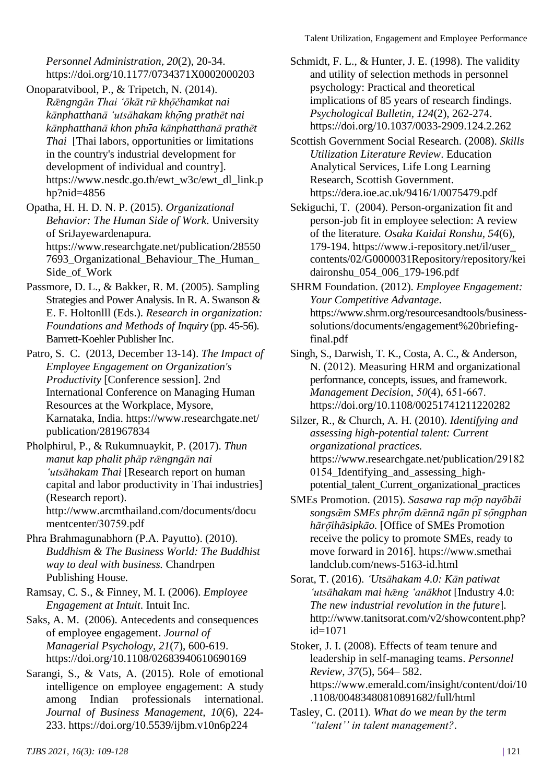*Personnel Administration, 20*(2), 20-34. https://doi.org/10.1177/0734371X0002000203

Onoparatvibool, P., & Tripetch, N. (2014). *Rǣngngān Thai ʻōkāt rư̜̄ kho ̜̄čhamkat nai kānphatthanā ʻutsāhakam kho ̜̄ng prathēt nai kānphatthanā khon phư̜̄a kānphatthanā prathēt Thai* [Thai labors, opportunities or limitations in the country's industrial development for development of individual and country]. https://www.nesdc.go.th/ewt\_w3c/ewt\_dl\_link.p hp?nid=4856

Opatha, H. H. D. N. P. (2015). *Organizational Behavior: The Human Side of Work*. University of SriJayewardenapura. https://www.researchgate.net/publication/28550 7693\_Organizational\_Behaviour\_The\_Human\_ Side\_of\_Work

Passmore, D. L., & Bakker, R. M. (2005). Sampling Strategies and Power Analysis. In R. A. Swanson & E. F. Holtonlll (Eds.). *Research in organization: Foundations and Methods of Inquiry* (pp. 45-56). Barrrett-Koehler Publisher Inc.

Patro, S. C. (2013, December 13-14). *The Impact of Employee Engagement on Organization's Productivity* [Conference session]. 2nd International Conference on Managing Human Resources at the Workplace, Mysore, Karnataka, India. https://www.researchgate.net/ publication/281967834

- Pholphirul, P., & Rukumnuaykit, P. (2017). *Thun manut kap phalit phāp rǣngngān nai ʻutsāhakam Thai* [Research report on human capital and labor productivity in Thai industries] (Research report). http://www.arcmthailand.com/documents/docu mentcenter/30759.pdf
- Phra Brahmagunabhorn (P.A. Payutto). (2010). *Buddhism & The Business World: The Buddhist way to deal with business.* Chandrpen Publishing House.

Ramsay, C. S., & Finney, M. I. (2006). *Employee Engagement at Intuit*. Intuit Inc.

Saks, A. M. (2006). Antecedents and consequences of employee engagement. *Journal of Managerial Psychology, 21*(7), 600-619. https://doi.org/10.1108/02683940610690169

Sarangi, S., & Vats, A. (2015). Role of emotional intelligence on employee engagement: A study among Indian professionals international. *Journal of Business Management, 10*(6), 224- 233. https://doi.org/10.5539/ijbm.v10n6p224

- Schmidt, F. L., & Hunter, J. E. (1998). The validity and utility of selection methods in personnel psychology: Practical and theoretical implications of 85 years of research findings. *Psychological Bulletin, 124*(2), 262-274. https://doi.org/10.1037/0033-2909.124.2.262
- Scottish Government Social Research. (2008). *Skills Utilization Literature Review*. Education Analytical Services, Life Long Learning Research, Scottish Government. https://dera.ioe.ac.uk/9416/1/0075479.pdf
- Sekiguchi, T. (2004). Person-organization fit and person-job fit in employee selection: A review of the literature*. Osaka Kaidai Ronshu, 54*(6), 179-194. https://www.i-repository.net/il/user\_ contents/02/G0000031Repository/repository/kei daironshu\_054\_006\_179-196.pdf
- SHRM Foundation. (2012). *Employee Engagement: Your Competitive Advantage*. https://www.shrm.org/resourcesandtools/businesssolutions/documents/engagement%20briefingfinal.pdf
- Singh, S., Darwish, T. K., Costa, A. C., & Anderson, N. (2012). Measuring HRM and organizational performance, concepts, issues, and framework. *Management Decision, 50*(4), 651-667. https://doi.org/10.1108/00251741211220282

Silzer, R., & Church, A. H. (2010). *Identifying and assessing high-potential talent: Current organizational practices.*  https://www.researchgate.net/publication/29182 0154\_Identifying\_and\_assessing\_highpotential\_talent\_Current\_organizational\_practices

- SMEs Promotion. (2015). Sasawa rap mop nayobāi *songsœ̜̄m SMEs phro ̜̄m dœ̜̄nnā ngān pī so ̜̄ngphan hāro ̜̄ihāsipkāo.* [Office of SMEs Promotion receive the policy to promote SMEs, ready to move forward in 2016]. https://www.smethai landclub.com/news-5163-id.html
- Sorat, T. (2016). *ʻUtsāhakam 4.0: Kān patiwat ʻutsāhakam mai hǣng ʻanākhot* [Industry 4.0: *The new industrial revolution in the future*]. http://www.tanitsorat.com/v2/showcontent.php? id=1071

Stoker, J. I. (2008). Effects of team tenure and leadership in self-managing teams. *Personnel Review, 37*(5), 564– 582. https://www.emerald.com/insight/content/doi/10 .1108/00483480810891682/full/html

Tasley, C. (2011). *What do we mean by the term "talent'' in talent management?*.